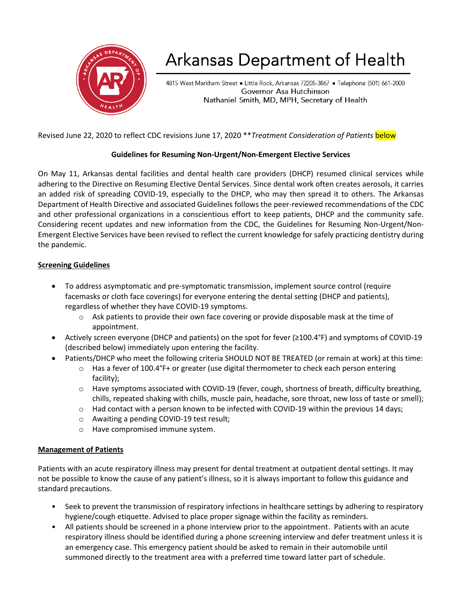

# Arkansas Department of Health

4815 West Markham Street . Little Rock, Arkansas 72205-3867 . Telephone (501) 661-2000 Governor Asa Hutchinson Nathaniel Smith, MD, MPH, Secretary of Health

Revised June 22, 2020 to reflect CDC revisions June 17, 2020 \*\**Treatment Consideration of Patients* below

#### **Guidelines for Resuming Non-Urgent/Non-Emergent Elective Services**

On May 11, Arkansas dental facilities and dental health care providers (DHCP) resumed clinical services while adhering to the [Directive on Resuming Elective Dental Services.](https://www.healthy.arkansas.gov/images/uploads/pdf/DIRECTIVE_May_11_final_1.pdf) Since dental work often creates aerosols, it carries an added risk of spreading COVID-19, especially to the DHCP, who may then spread it to others. The Arkansas Department of Health Directive and associated Guidelines follows the peer-reviewed recommendations of the CDC and other professional organizations in a conscientious effort to keep patients, DHCP and the community safe. Considering recent updates and new information from the CDC, the Guidelines for Resuming Non-Urgent/Non-Emergent Elective Services have been revised to reflect the current knowledge for safely practicing dentistry during the pandemic.

#### **Screening Guidelines**

- To address asymptomatic and pre-symptomatic transmission, implement source control (require facemasks or cloth face coverings) for everyone entering the dental setting (DHCP and patients), regardless of whether they have COVID-19 symptoms.
	- $\circ$  Ask patients to provide their own face covering or provide disposable mask at the time of appointment.
- Actively screen everyone (DHCP and patients) on the spot for fever (≥100.4°F) and symptoms of COVID-19 (described below) immediately upon entering the facility.
- Patients/DHCP who meet the following criteria SHOULD NOT BE TREATED (or remain at work) at this time:
	- $\circ$  Has a fever of 100.4°F+ or greater (use digital thermometer to check each person entering facility);
	- o Have symptoms associated with COVID-19 (fever, cough, shortness of breath, difficulty breathing, chills, repeated shaking with chills, muscle pain, headache, sore throat, new loss of taste or smell);
	- $\circ$  Had contact with a person known to be infected with COVID-19 within the previous 14 days;
	- o Awaiting a pending COVID-19 test result;
	- o Have compromised immune system.

#### **Management of Patients**

Patients with an acute respiratory illness may present for dental treatment at outpatient dental settings. It may not be possible to know the cause of any patient's illness, so it is always important to follow this guidance and standard precautions.

- Seek to prevent the transmission of respiratory infections in healthcare settings by adhering to respiratory hygiene/cough etiquette. Advised to place proper signage within the facility as reminders.
- All patients should be screened in a phone interview prior to the appointment. Patients with an acute respiratory illness should be identified during a phone screening interview and defer treatment unless it is an emergency case. This emergency patient should be asked to remain in their automobile until summoned directly to the treatment area with a preferred time toward latter part of schedule.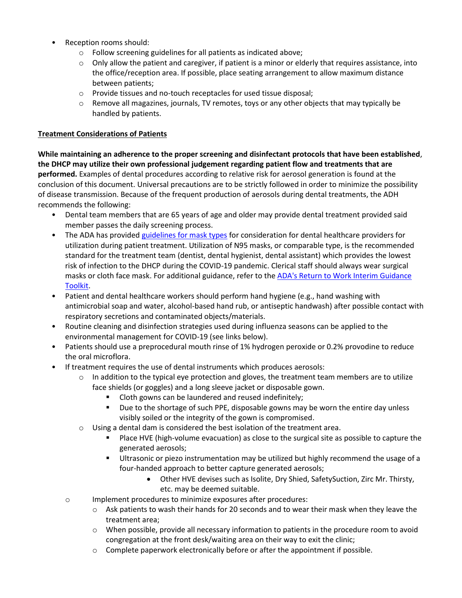- Reception rooms should:
	- o Follow screening guidelines for all patients as indicated above;
	- $\circ$  Only allow the patient and caregiver, if patient is a minor or elderly that requires assistance, into the office/reception area. If possible, place seating arrangement to allow maximum distance between patients;
	- o Provide tissues and no-touch receptacles for used tissue disposal;
	- $\circ$  Remove all magazines, journals, TV remotes, toys or any other objects that may typically be handled by patients.

#### **Treatment Considerations of Patients**

**While maintaining an adherence to the proper screening and disinfectant protocols that have been established**, **the DHCP may utilize their own professional judgement regarding patient flow and treatments that are performed.** Examples of dental procedures according to relative risk for aerosol generation is found at the conclusion of this document. Universal precautions are to be strictly followed in order to minimize the possibility of disease transmission. Because of the frequent production of aerosols during dental treatments, the ADH recommends the following:

- Dental team members that are 65 years of age and older may provide dental treatment provided said member passes the daily screening process.
- The ADA has provided [guidelines for mask types](https://success.ada.org/~/media/CPS/Files/COVID/ADA_Interim_Mask_and_Face_Shield_Guidelines.pdf?_ga=2.21973176.286033647.1587472869-2008935864.1585061055) for consideration for dental healthcare providers for utilization during patient treatment. Utilization of N95 masks, or comparable type, is the recommended standard for the treatment team (dentist, dental hygienist, dental assistant) which provides the lowest risk of infection to the DHCP during the COVID-19 pandemic. Clerical staff should always wear surgical masks or cloth face mask. For additional guidance, refer to the ADA's Return to Work Interim Guidance [Toolkit.](https://success.ada.org/~/media/CPS/Files/Open%20Files/ADA_Return_to_Work_Toolkit.pdf)
- Patient and dental healthcare workers should perform hand hygiene (e.g., hand washing with antimicrobial soap and water, alcohol-based hand rub, or antiseptic handwash) after possible contact with respiratory secretions and contaminated objects/materials.
- Routine cleaning and disinfection strategies used during influenza seasons can be applied to the environmental management for COVID-19 (see links below).
- Patients should use a preprocedural mouth rinse of 1% hydrogen peroxide or 0.2% provodine to reduce the oral microflora.
- If treatment requires the use of dental instruments which produces aerosols:
	- $\circ$  In addition to the typical eye protection and gloves, the treatment team members are to utilize face shields (or goggles) and a long sleeve jacket or disposable gown.
		- Cloth gowns can be laundered and reused indefinitely;
		- Due to the shortage of such PPE, disposable gowns may be worn the entire day unless visibly soiled or the integrity of the gown is compromised.
	- o Using a dental dam is considered the best isolation of the treatment area.
		- Place HVE (high-volume evacuation) as close to the surgical site as possible to capture the generated aerosols;
		- Ultrasonic or piezo instrumentation may be utilized but highly recommend the usage of a four-handed approach to better capture generated aerosols;
			- Other HVE devises such as Isolite, Dry Shied, SafetySuction, Zirc Mr. Thirsty, etc. may be deemed suitable.
	- o Implement procedures to minimize exposures after procedures:
		- $\circ$  Ask patients to wash their hands for 20 seconds and to wear their mask when they leave the treatment area;
		- $\circ$  When possible, provide all necessary information to patients in the procedure room to avoid congregation at the front desk/waiting area on their way to exit the clinic;
		- $\circ$  Complete paperwork electronically before or after the appointment if possible.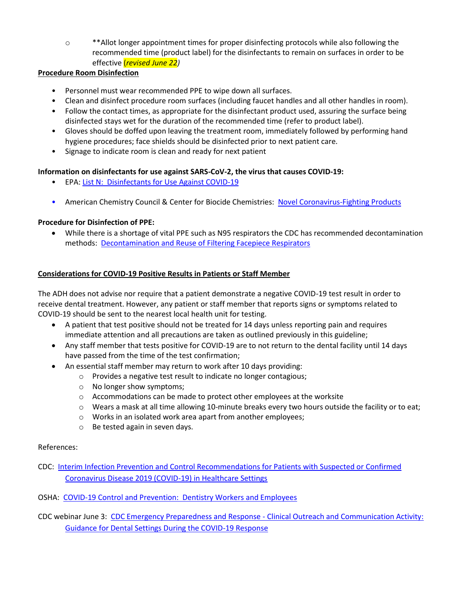o \*\*Allot longer appointment times for proper disinfecting protocols while also following the recommended time (product label) for the disinfectants to remain on surfaces in order to be effective (*revised June 22)*

#### **Procedure Room Disinfection**

- Personnel must wear recommended PPE to wipe down all surfaces.
- Clean and disinfect procedure room surfaces (including faucet handles and all other handles in room).
- Follow the contact times, as appropriate for the disinfectant product used, assuring the surface being disinfected stays wet for the duration of the recommended time (refer to product label).
- Gloves should be doffed upon leaving the treatment room, immediately followed by performing hand hygiene procedures; face shields should be disinfected prior to next patient care.
- Signage to indicate room is clean and ready for next patient

#### **Information on disinfectants for use against SARS-CoV-2, the virus that causes COVID-19:**

- EPA: [List N: Disinfectants for Use Against COVID-19](https://www.epa.gov/pesticide-registration/list-n-disinfectants-use-against-sars-cov-2)
- American Chemistry Council & Center for Biocide Chemistries: [Novel Coronavirus-Fighting Products](https://www.americanchemistry.com/Novel-Coronavirus-Fighting-Products-List.pdf)

## **Procedure for Disinfection of PPE:**

• While there is a shortage of vital PPE such as N95 respirators the CDC has recommended decontamination methods: [Decontamination and Reuse of Filtering Facepiece Respirators](https://www.cdc.gov/coronavirus/2019-ncov/hcp/ppe-strategy/decontamination-reuse-respirators.html)

### **Considerations for COVID-19 Positive Results in Patients or Staff Member**

The ADH does not advise nor require that a patient demonstrate a negative COVID-19 test result in order to receive dental treatment. However, any patient or staff member that reports signs or symptoms related to COVID-19 should be sent to the nearest local health unit for testing.

- A patient that test positive should not be treated for 14 days unless reporting pain and requires immediate attention and all precautions are taken as outlined previously in this guideline;
- Any staff member that tests positive for COVID-19 are to not return to the dental facility until 14 days have passed from the time of the test confirmation;
- An essential staff member may return to work after 10 days providing:
	- o Provides a negative test result to indicate no longer contagious;
	- o No longer show symptoms;
	- $\circ$  Accommodations can be made to protect other employees at the worksite
	- o Wears a mask at all time allowing 10-minute breaks every two hours outside the facility or to eat;
	- o Works in an isolated work area apart from another employees;
	- o Be tested again in seven days.

#### References:

- CDC: [Interim Infection Prevention and Control Recommendations for Patients with Suspected or Confirmed](https://www.cdc.gov/coronavirus/2019-ncov/hcp/infection-control-recommendations.html)  [Coronavirus Disease 2019 \(COVID-19\) in Healthcare Settings](https://www.cdc.gov/coronavirus/2019-ncov/hcp/infection-control-recommendations.html)
- OSHA: [COVID-19 Control and Prevention: Dentistry Workers and Employees](https://secure-web.cisco.com/1U0yAE7IXejgZLnsvqO7L3flCAqZtISz2xNR7vCJ4jcDfHAcqT8FypnoF-hNUoQdNsyvTc7g42oDnaM7uSK3pflueubRzvpdPsuiNp2ZaFd_FDs_TCsfrFRzdvzjcAe0yqC5zU639M1wXDzQNAFrKWj9LOgOWQL4EZkLNp9y3qKMMZbI8sfaZEJSL5yAvb282wWW0DJezECoQB1DUlHbx3VVlOGCkFGXHrEK4kSFozbHBXJ8YCeobaoxlCMF2QdblC3rEqlpuRdsDHq809oCURVGmTtN1-QjS-stxp7BlZ3tIPCB5YA9etWxVhS76i9zpJ-mc0786QiM2QdE8MFqk0aTrjWVN5Nus--zm2BeN1Qt2_AEIQWdTMlCAMpnfxBFakUYEoPVe_il4bL6iEXpU66WShD4RI3FkNYtVS6OFRwyBn4c9v0zWN2JB4J0ZF21p/https%3A%2F%2Fwww.osha.gov%2FSLTC%2Fcovid-19%2Fdentistry.html)
- CDC webinar June 3: CDC Emergency Preparedness and Response [Clinical Outreach and Communication Activity:](https://emergency.cdc.gov/coca/calls/2020/callinfo_060320.asp)  [Guidance for Dental Settings During the COVID-19 Response](https://emergency.cdc.gov/coca/calls/2020/callinfo_060320.asp)